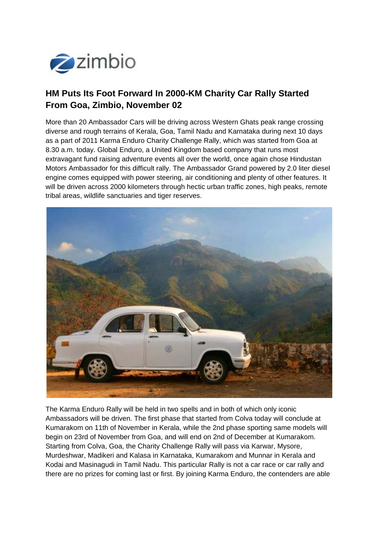

## **HM Puts Its Foot Forward In 2000-KM Charity Car Rally Started From Goa, Zimbio, November 02**

More than 20 Ambassador Cars will be driving across Western Ghats peak range crossing diverse and rough terrains of Kerala, Goa, Tamil Nadu and Karnataka during next 10 days as a part of 2011 Karma Enduro Charity Challenge Rally, which was started from Goa at 8.30 a.m. today. Global Enduro, a United Kingdom based company that runs most extravagant fund raising adventure events all over the world, once again chose Hindustan Motors Ambassador for this difficult rally. The Ambassador Grand powered by 2.0 liter diesel engine comes equipped with power steering, air conditioning and plenty of other features. It will be driven across 2000 kilometers through hectic urban traffic zones, high peaks, remote tribal areas, wildlife sanctuaries and tiger reserves.



The Karma Enduro Rally will be held in two spells and in both of which only iconic Ambassadors will be driven. The first phase that started from Colva today will conclude at Kumarakom on 11th of November in Kerala, while the 2nd phase sporting same models will begin on 23rd of November from Goa, and will end on 2nd of December at Kumarakom. Starting from Colva, Goa, the Charity Challenge Rally will pass via Karwar, Mysore, Murdeshwar, Madikeri and Kalasa in Karnataka, Kumarakom and Munnar in Kerala and Kodai and Masinagudi in Tamil Nadu. This particular Rally is not a car race or car rally and there are no prizes for coming last or first. By joining Karma Enduro, the contenders are able